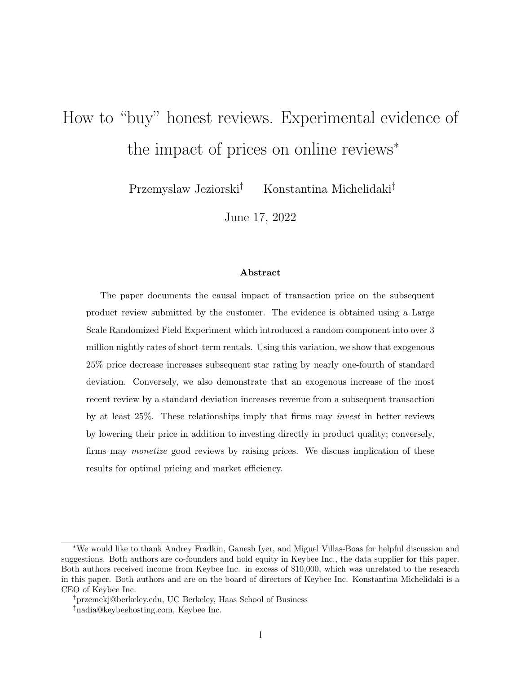# How to "buy" honest reviews. Experimental evidence of the impact of prices on online reviews<sup>∗</sup>

Przemyslaw Jeziorski† Konstantina Michelidaki‡

June 17, 2022

#### Abstract

The paper documents the causal impact of transaction price on the subsequent product review submitted by the customer. The evidence is obtained using a Large Scale Randomized Field Experiment which introduced a random component into over 3 million nightly rates of short-term rentals. Using this variation, we show that exogenous 25% price decrease increases subsequent star rating by nearly one-fourth of standard deviation. Conversely, we also demonstrate that an exogenous increase of the most recent review by a standard deviation increases revenue from a subsequent transaction by at least 25%. These relationships imply that firms may invest in better reviews by lowering their price in addition to investing directly in product quality; conversely, firms may monetize good reviews by raising prices. We discuss implication of these results for optimal pricing and market efficiency.

<sup>∗</sup>We would like to thank Andrey Fradkin, Ganesh Iyer, and Miguel Villas-Boas for helpful discussion and suggestions. Both authors are co-founders and hold equity in Keybee Inc., the data supplier for this paper. Both authors received income from Keybee Inc. in excess of \$10,000, which was unrelated to the research in this paper. Both authors and are on the board of directors of Keybee Inc. Konstantina Michelidaki is a CEO of Keybee Inc.

<sup>†</sup>przemekj@berkeley.edu, UC Berkeley, Haas School of Business ‡nadia@keybeehosting.com, Keybee Inc.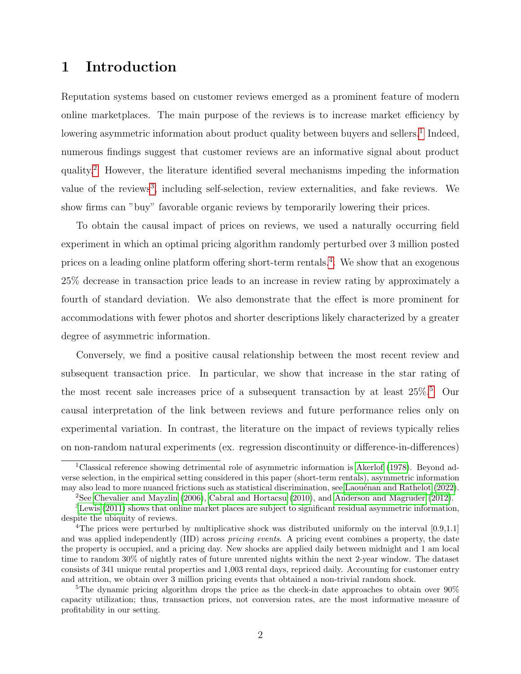# 1 Introduction

Reputation systems based on customer reviews emerged as a prominent feature of modern online marketplaces. The main purpose of the reviews is to increase market efficiency by lowering asymmetric information about product quality between buyers and sellers.<sup>[1](#page-1-0)</sup> Indeed, numerous findings suggest that customer reviews are an informative signal about product quality.[2](#page-1-1) However, the literature identified several mechanisms impeding the information value of the reviews<sup>[3](#page-1-2)</sup>, including self-selection, review externalities, and fake reviews. We show firms can "buy" favorable organic reviews by temporarily lowering their prices.

To obtain the causal impact of prices on reviews, we used a naturally occurring field experiment in which an optimal pricing algorithm randomly perturbed over 3 million posted prices on a leading online platform offering short-term rentals.<sup>[4](#page-1-3)</sup>. We show that an exogenous 25% decrease in transaction price leads to an increase in review rating by approximately a fourth of standard deviation. We also demonstrate that the effect is more prominent for accommodations with fewer photos and shorter descriptions likely characterized by a greater degree of asymmetric information.

Conversely, we find a positive causal relationship between the most recent review and subsequent transaction price. In particular, we show that increase in the star rating of the most recent sale increases price of a subsequent transaction by at least  $25\%$  $25\%$  $25\%$ .<sup>5</sup> Our causal interpretation of the link between reviews and future performance relies only on experimental variation. In contrast, the literature on the impact of reviews typically relies on non-random natural experiments (ex. regression discontinuity or difference-in-differences)

<span id="page-1-0"></span><sup>1</sup>Classical reference showing detrimental role of asymmetric information is [Akerlof](#page-28-0) [\(1978\)](#page-28-0). Beyond adverse selection, in the empirical setting considered in this paper (short-term rentals), asymmetric information may also lead to more nuanced frictions such as statistical discrimination, see Laouénan and Rathelot [\(2022\)](#page-30-0).

<span id="page-1-2"></span><span id="page-1-1"></span><sup>2</sup>See [Chevalier and Mayzlin](#page-29-0) [\(2006\)](#page-29-0), [Cabral and Hortacsu](#page-29-1) [\(2010\)](#page-29-1), and [Anderson and Magruder](#page-28-1) [\(2012\)](#page-28-1).

<sup>3</sup>[Lewis](#page-30-1) [\(2011\)](#page-30-1) shows that online market places are subject to significant residual asymmetric information, despite the ubiquity of reviews.

<span id="page-1-3"></span><sup>&</sup>lt;sup>4</sup>The prices were perturbed by multiplicative shock was distributed uniformly on the interval [0.9,1.1] and was applied independently (IID) across *pricing events*. A pricing event combines a property, the date the property is occupied, and a pricing day. New shocks are applied daily between midnight and 1 am local time to random 30% of nightly rates of future unrented nights within the next 2-year window. The dataset consists of 341 unique rental properties and 1,003 rental days, repriced daily. Accounting for customer entry and attrition, we obtain over 3 million pricing events that obtained a non-trivial random shock.

<span id="page-1-4"></span><sup>&</sup>lt;sup>5</sup>The dynamic pricing algorithm drops the price as the check-in date approaches to obtain over  $90\%$ capacity utilization; thus, transaction prices, not conversion rates, are the most informative measure of profitability in our setting.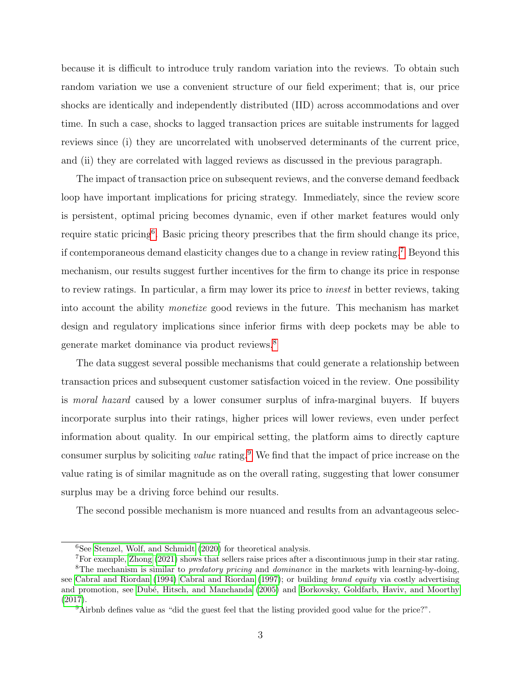because it is difficult to introduce truly random variation into the reviews. To obtain such random variation we use a convenient structure of our field experiment; that is, our price shocks are identically and independently distributed (IID) across accommodations and over time. In such a case, shocks to lagged transaction prices are suitable instruments for lagged reviews since (i) they are uncorrelated with unobserved determinants of the current price, and (ii) they are correlated with lagged reviews as discussed in the previous paragraph.

The impact of transaction price on subsequent reviews, and the converse demand feedback loop have important implications for pricing strategy. Immediately, since the review score is persistent, optimal pricing becomes dynamic, even if other market features would only require static pricing<sup>[6](#page-2-0)</sup>. Basic pricing theory prescribes that the firm should change its price, if contemporaneous demand elasticity changes due to a change in review rating.[7](#page-2-1) Beyond this mechanism, our results suggest further incentives for the firm to change its price in response to review ratings. In particular, a firm may lower its price to invest in better reviews, taking into account the ability monetize good reviews in the future. This mechanism has market design and regulatory implications since inferior firms with deep pockets may be able to generate market dominance via product reviews.[8](#page-2-2)

The data suggest several possible mechanisms that could generate a relationship between transaction prices and subsequent customer satisfaction voiced in the review. One possibility is moral hazard caused by a lower consumer surplus of infra-marginal buyers. If buyers incorporate surplus into their ratings, higher prices will lower reviews, even under perfect information about quality. In our empirical setting, the platform aims to directly capture consumer surplus by soliciting *value* rating.<sup>[9](#page-2-3)</sup> We find that the impact of price increase on the value rating is of similar magnitude as on the overall rating, suggesting that lower consumer surplus may be a driving force behind our results.

The second possible mechanism is more nuanced and results from an advantageous selec-

<span id="page-2-2"></span><span id="page-2-1"></span><span id="page-2-0"></span> ${}^{6}$ See [Stenzel, Wolf, and Schmidt](#page-30-2) [\(2020\)](#page-30-2) for theoretical analysis.

<sup>7</sup>For example, [Zhong](#page-30-3) [\(2021\)](#page-30-3) shows that sellers raise prices after a discontinuous jump in their star rating. <sup>8</sup>The mechanism is similar to *predatory pricing* and *dominance* in the markets with learning-by-doing, see [Cabral and Riordan](#page-29-2) [\(1994\)](#page-29-2) [Cabral and Riordan](#page-29-3) [\(1997\)](#page-29-3); or building brand equity via costly advertising and promotion, see Dubé, Hitsch, and Manchanda [\(2005\)](#page-29-4) and [Borkovsky, Goldfarb, Haviv, and Moorthy](#page-29-5) [\(2017\)](#page-29-5).

<span id="page-2-3"></span><sup>9</sup>Airbnb defines value as "did the guest feel that the listing provided good value for the price?".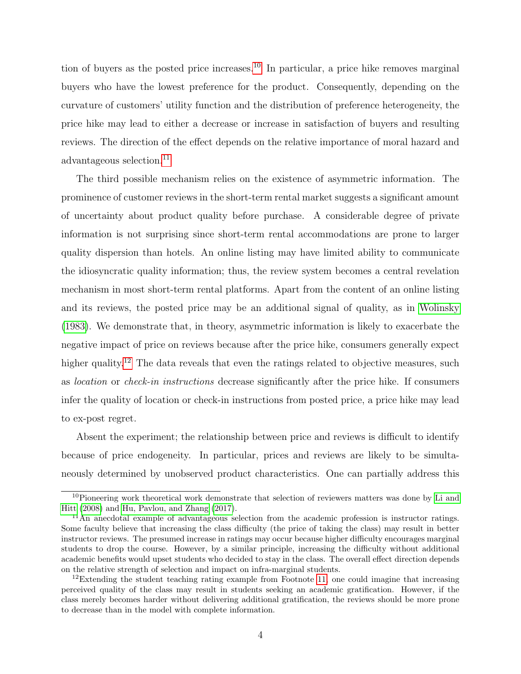tion of buyers as the posted price increases.<sup>[10](#page-3-0)</sup> In particular, a price hike removes marginal buyers who have the lowest preference for the product. Consequently, depending on the curvature of customers' utility function and the distribution of preference heterogeneity, the price hike may lead to either a decrease or increase in satisfaction of buyers and resulting reviews. The direction of the effect depends on the relative importance of moral hazard and advantageous selection.<sup>[11](#page-3-1)</sup>

The third possible mechanism relies on the existence of asymmetric information. The prominence of customer reviews in the short-term rental market suggests a significant amount of uncertainty about product quality before purchase. A considerable degree of private information is not surprising since short-term rental accommodations are prone to larger quality dispersion than hotels. An online listing may have limited ability to communicate the idiosyncratic quality information; thus, the review system becomes a central revelation mechanism in most short-term rental platforms. Apart from the content of an online listing and its reviews, the posted price may be an additional signal of quality, as in [Wolinsky](#page-30-4) [\(1983\)](#page-30-4). We demonstrate that, in theory, asymmetric information is likely to exacerbate the negative impact of price on reviews because after the price hike, consumers generally expect higher quality.<sup>[12](#page-3-2)</sup> The data reveals that even the ratings related to objective measures, such as location or check-in instructions decrease significantly after the price hike. If consumers infer the quality of location or check-in instructions from posted price, a price hike may lead to ex-post regret.

Absent the experiment; the relationship between price and reviews is difficult to identify because of price endogeneity. In particular, prices and reviews are likely to be simultaneously determined by unobserved product characteristics. One can partially address this

<span id="page-3-0"></span><sup>&</sup>lt;sup>10</sup>Pioneering work theoretical work demonstrate that selection of reviewers matters was done by [Li and](#page-30-5) [Hitt](#page-30-5) [\(2008\)](#page-30-5) and [Hu, Pavlou, and Zhang](#page-30-6) [\(2017\)](#page-30-6).

<span id="page-3-1"></span> $11$ An anecdotal example of advantageous selection from the academic profession is instructor ratings. Some faculty believe that increasing the class difficulty (the price of taking the class) may result in better instructor reviews. The presumed increase in ratings may occur because higher difficulty encourages marginal students to drop the course. However, by a similar principle, increasing the difficulty without additional academic benefits would upset students who decided to stay in the class. The overall effect direction depends on the relative strength of selection and impact on infra-marginal students.

<span id="page-3-2"></span> $12$ Extending the student teaching rating example from Footnote [11,](#page-3-1) one could imagine that increasing perceived quality of the class may result in students seeking an academic gratification. However, if the class merely becomes harder without delivering additional gratification, the reviews should be more prone to decrease than in the model with complete information.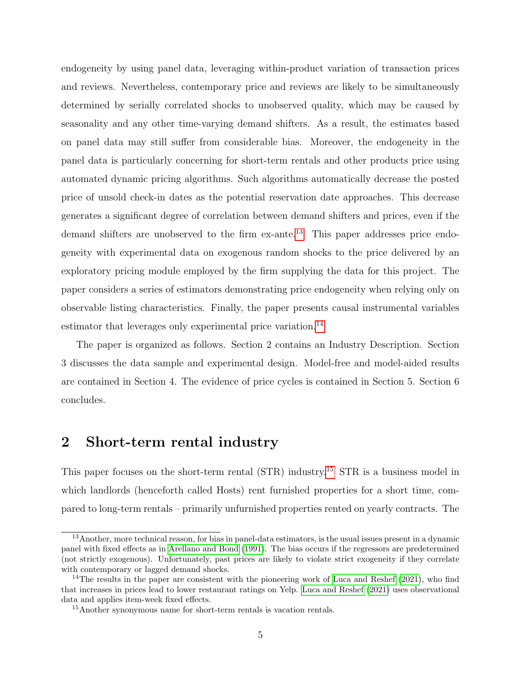endogeneity by using panel data, leveraging within-product variation of transaction prices and reviews. Nevertheless, contemporary price and reviews are likely to be simultaneously determined by serially correlated shocks to unobserved quality, which may be caused by seasonality and any other time-varying demand shifters. As a result, the estimates based on panel data may still suffer from considerable bias. Moreover, the endogeneity in the panel data is particularly concerning for short-term rentals and other products price using automated dynamic pricing algorithms. Such algorithms automatically decrease the posted price of unsold check-in dates as the potential reservation date approaches. This decrease generates a significant degree of correlation between demand shifters and prices, even if the demand shifters are unobserved to the firm ex-ante.<sup>[13](#page-4-0)</sup> This paper addresses price endogeneity with experimental data on exogenous random shocks to the price delivered by an exploratory pricing module employed by the firm supplying the data for this project. The paper considers a series of estimators demonstrating price endogeneity when relying only on observable listing characteristics. Finally, the paper presents causal instrumental variables estimator that leverages only experimental price variation.<sup>[14](#page-4-1)</sup>

The paper is organized as follows. Section 2 contains an Industry Description. Section 3 discusses the data sample and experimental design. Model-free and model-aided results are contained in Section 4. The evidence of price cycles is contained in Section 5. Section 6 concludes.

# 2 Short-term rental industry

This paper focuses on the short-term rental (STR) industry.[15](#page-4-2) STR is a business model in which landlords (henceforth called Hosts) rent furnished properties for a short time, compared to long-term rentals – primarily unfurnished properties rented on yearly contracts. The

<span id="page-4-0"></span><sup>13</sup>Another, more technical reason, for bias in panel-data estimators, is the usual issues present in a dynamic panel with fixed effects as in [Arellano and Bond](#page-29-6) [\(1991\)](#page-29-6). The bias occurs if the regressors are predetermined (not strictly exogenous). Unfortunately, past prices are likely to violate strict exogeneity if they correlate with contemporary or lagged demand shocks.

<span id="page-4-1"></span><sup>&</sup>lt;sup>14</sup>The results in the paper are consistent with the pioneering work of [Luca and Reshef](#page-30-7) [\(2021\)](#page-30-7), who find that increases in prices lead to lower restaurant ratings on Yelp. [Luca and Reshef](#page-30-7) [\(2021\)](#page-30-7) uses observational data and applies item-week fixed effects.

<span id="page-4-2"></span><sup>15</sup>Another synonymous name for short-term rentals is vacation rentals.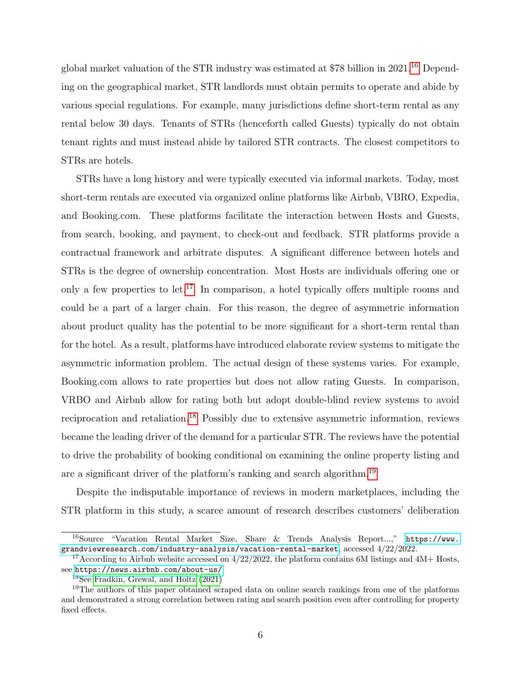global market valuation of the STR industry was estimated at \$78 billion in 2021.<sup>[16](#page-5-0)</sup> Depending on the geographical market, STR landlords must obtain permits to operate and abide by various special regulations. For example, many jurisdictions define short-term rental as any rental below 30 days. Tenants of STRs (henceforth called Guests) typically do not obtain tenant rights and must instead abide by tailored STR contracts. The closest competitors to STRs are hotels.

STRs have a long history and were typically executed via informal markets. Today, most short-term rentals are executed via organized online platforms like Airbnb, VBRO, Expedia, and Booking.com. These platforms facilitate the interaction between Hosts and Guests, from search, booking, and payment, to check-out and feedback. STR platforms provide a contractual framework and arbitrate disputes. A significant difference between hotels and STRs is the degree of ownership concentration. Most Hosts are individuals offering one or only a few properties to let.<sup>[17](#page-5-1)</sup> In comparison, a hotel typically offers multiple rooms and could be a part of a larger chain. For this reason, the degree of asymmetric information about product quality has the potential to be more significant for a short-term rental than for the hotel. As a result, platforms have introduced elaborate review systems to mitigate the asymmetric information problem. The actual design of these systems varies. For example, Booking.com allows to rate properties but does not allow rating Guests. In comparison, VRBO and Airbnb allow for rating both but adopt double-blind review systems to avoid reciprocation and retaliation.[18](#page-5-2) Possibly due to extensive asymmetric information, reviews became the leading driver of the demand for a particular STR. The reviews have the potential to drive the probability of booking conditional on examining the online property listing and are a significant driver of the platform's ranking and search algorithm.[19](#page-5-3)

Despite the indisputable importance of reviews in modern marketplaces, including the STR platform in this study, a scarce amount of research describes customers' deliberation

<span id="page-5-0"></span><sup>16</sup>Source "Vacation Rental Market Size, Share & Trends Analysis Report...," [https://www.](https://www.grandviewresearch.com/industry-analysis/vacation-rental-market) [grandviewresearch.com/industry-analysis/vacation-rental-market](https://www.grandviewresearch.com/industry-analysis/vacation-rental-market), accessed 4/22/2022.

<span id="page-5-1"></span><sup>&</sup>lt;sup>17</sup>According to Airbnb website accessed on  $4/22/2022$ , the platform contains 6M listings and 4M+ Hosts, see <https://news.airbnb.com/about-us/>.

<span id="page-5-3"></span><span id="page-5-2"></span><sup>18</sup>See [Fradkin, Grewal, and Holtz](#page-30-8) [\(2021\)](#page-30-8)

<sup>&</sup>lt;sup>19</sup>The authors of this paper obtained scraped data on online search rankings from one of the platforms and demonstrated a strong correlation between rating and search position even after controlling for property fixed effects.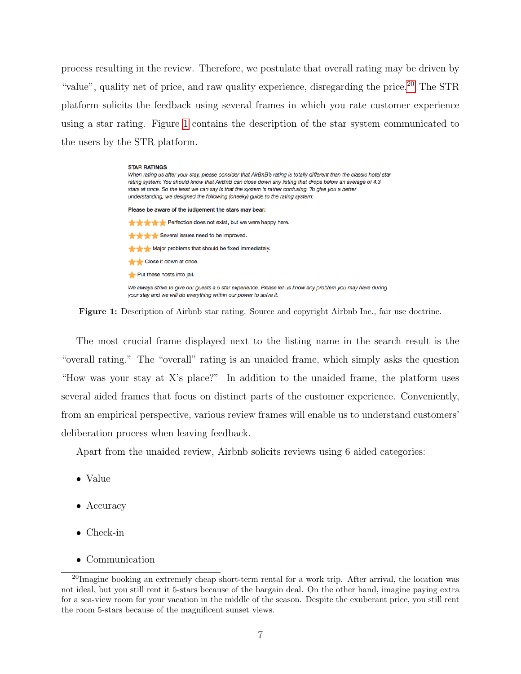process resulting in the review. Therefore, we postulate that overall rating may be driven by "value", quality net of price, and raw quality experience, disregarding the price.<sup>[20](#page-6-0)</sup> The STR platform solicits the feedback using several frames in which you rate customer experience using a star rating. Figure [1](#page-6-1) contains the description of the star system communicated to the users by the STR platform.

### **STAR RATINGS** When rating us after your stay, please consider that AirBnB's rating is totally different than the classic hotel star rating system: You should know that AirBnB can close down any listing that drops below an average of 4.3 stars at once. So the least we can say is that the system is rather confusing. To give you a better understanding, we designed the following (cheeky) guide to the rating system: Please be aware of the judgement the stars may bear: ★★★★ Perfection does not exist, but we were happy here. Several issues need to be improved. Major problems that should be fixed immediately. Close it down at once. Put these hosts into jail. We always strive to give our guests a 5 star experience. Please let us know any problem you may have during your stay and we will do everything within our power to solve it.

<span id="page-6-1"></span>Figure 1: Description of Airbnb star rating. Source and copyright Airbnb Inc., fair use doctrine.

The most crucial frame displayed next to the listing name in the search result is the "overall rating." The "overall" rating is an unaided frame, which simply asks the question "How was your stay at X's place?" In addition to the unaided frame, the platform uses several aided frames that focus on distinct parts of the customer experience. Conveniently, from an empirical perspective, various review frames will enable us to understand customers' deliberation process when leaving feedback.

Apart from the unaided review, Airbnb solicits reviews using 6 aided categories:

- Value
- Accuracy
- Check-in
- <span id="page-6-0"></span>• Communication

<sup>20</sup>Imagine booking an extremely cheap short-term rental for a work trip. After arrival, the location was not ideal, but you still rent it 5-stars because of the bargain deal. On the other hand, imagine paying extra for a sea-view room for your vacation in the middle of the season. Despite the exuberant price, you still rent the room 5-stars because of the magnificent sunset views.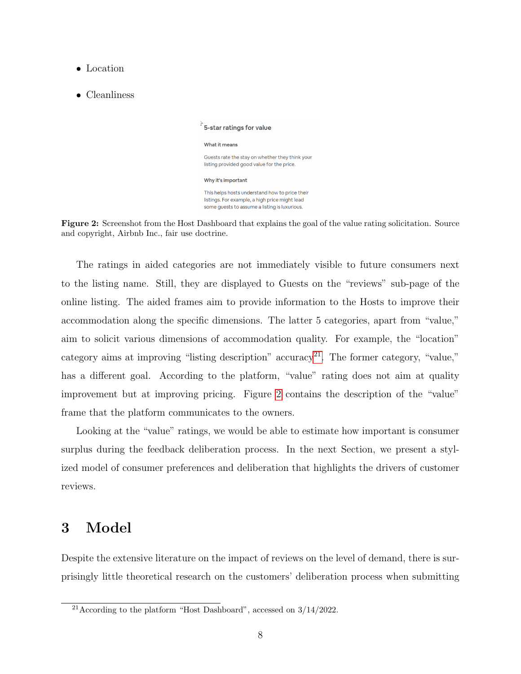- Location
- Cleanliness

 $\overrightarrow{S}$  5-star ratings for value What it means Guests rate the stay on whether they think your listing provided good value for the price. Why it's important This helps hosts understand how to price their listings. For example, a high price might lead some guests to assume a listing is luxurious.

<span id="page-7-1"></span>

The ratings in aided categories are not immediately visible to future consumers next to the listing name. Still, they are displayed to Guests on the "reviews" sub-page of the online listing. The aided frames aim to provide information to the Hosts to improve their accommodation along the specific dimensions. The latter 5 categories, apart from "value," aim to solicit various dimensions of accommodation quality. For example, the "location" category aims at improving "listing description" accuracy<sup>[21](#page-7-0)</sup>. The former category, "value," has a different goal. According to the platform, "value" rating does not aim at quality improvement but at improving pricing. Figure [2](#page-7-1) contains the description of the "value" frame that the platform communicates to the owners.

Looking at the "value" ratings, we would be able to estimate how important is consumer surplus during the feedback deliberation process. In the next Section, we present a stylized model of consumer preferences and deliberation that highlights the drivers of customer reviews.

# 3 Model

Despite the extensive literature on the impact of reviews on the level of demand, there is surprisingly little theoretical research on the customers' deliberation process when submitting

<span id="page-7-0"></span><sup>&</sup>lt;sup>21</sup> According to the platform "Host Dashboard", accessed on  $3/14/2022$ .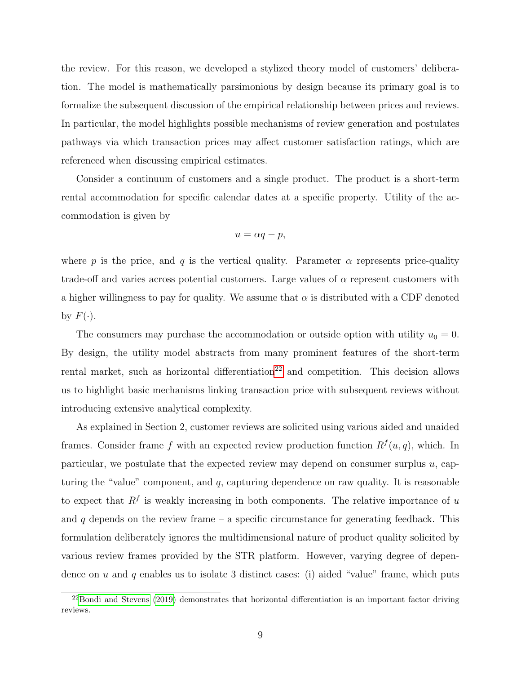the review. For this reason, we developed a stylized theory model of customers' deliberation. The model is mathematically parsimonious by design because its primary goal is to formalize the subsequent discussion of the empirical relationship between prices and reviews. In particular, the model highlights possible mechanisms of review generation and postulates pathways via which transaction prices may affect customer satisfaction ratings, which are referenced when discussing empirical estimates.

Consider a continuum of customers and a single product. The product is a short-term rental accommodation for specific calendar dates at a specific property. Utility of the accommodation is given by

$$
u = \alpha q - p,
$$

where p is the price, and q is the vertical quality. Parameter  $\alpha$  represents price-quality trade-off and varies across potential customers. Large values of  $\alpha$  represent customers with a higher willingness to pay for quality. We assume that  $\alpha$  is distributed with a CDF denoted by  $F(\cdot)$ .

The consumers may purchase the accommodation or outside option with utility  $u_0 = 0$ . By design, the utility model abstracts from many prominent features of the short-term rental market, such as horizontal differentiation<sup>[22](#page-8-0)</sup> and competition. This decision allows us to highlight basic mechanisms linking transaction price with subsequent reviews without introducing extensive analytical complexity.

As explained in Section 2, customer reviews are solicited using various aided and unaided frames. Consider frame f with an expected review production function  $R^f(u, q)$ , which. In particular, we postulate that the expected review may depend on consumer surplus u, capturing the "value" component, and  $q$ , capturing dependence on raw quality. It is reasonable to expect that  $R<sup>f</sup>$  is weakly increasing in both components. The relative importance of u and  $q$  depends on the review frame – a specific circumstance for generating feedback. This formulation deliberately ignores the multidimensional nature of product quality solicited by various review frames provided by the STR platform. However, varying degree of dependence on u and q enables us to isolate 3 distinct cases: (i) aided "value" frame, which puts

<span id="page-8-0"></span> $^{22}$ [Bondi and Stevens](#page-29-7) [\(2019\)](#page-29-7) demonstrates that horizontal differentiation is an important factor driving reviews.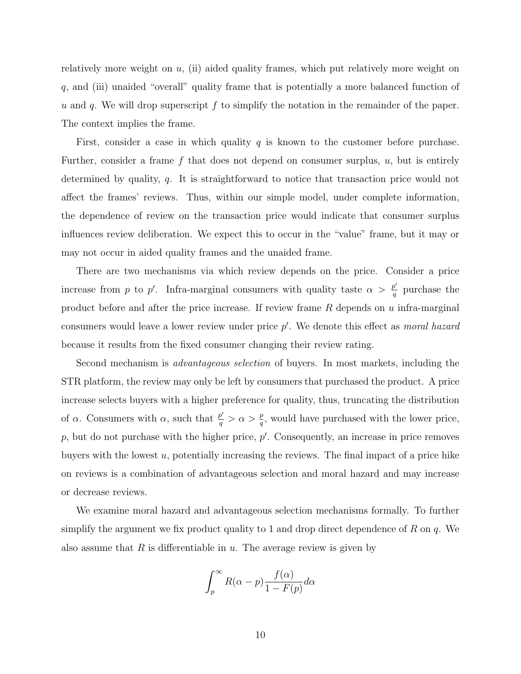relatively more weight on  $u$ , (ii) aided quality frames, which put relatively more weight on q, and (iii) unaided "overall" quality frame that is potentially a more balanced function of u and q. We will drop superscript  $f$  to simplify the notation in the remainder of the paper. The context implies the frame.

First, consider a case in which quality  $q$  is known to the customer before purchase. Further, consider a frame  $f$  that does not depend on consumer surplus,  $u$ , but is entirely determined by quality, q. It is straightforward to notice that transaction price would not affect the frames' reviews. Thus, within our simple model, under complete information, the dependence of review on the transaction price would indicate that consumer surplus influences review deliberation. We expect this to occur in the "value" frame, but it may or may not occur in aided quality frames and the unaided frame.

There are two mechanisms via which review depends on the price. Consider a price increase from p to p'. Infra-marginal consumers with quality taste  $\alpha > \frac{p'}{q}$  $\frac{p}{q}$  purchase the product before and after the price increase. If review frame  $R$  depends on  $u$  infra-marginal consumers would leave a lower review under price  $p'$ . We denote this effect as *moral hazard* because it results from the fixed consumer changing their review rating.

Second mechanism is *advantageous selection* of buyers. In most markets, including the STR platform, the review may only be left by consumers that purchased the product. A price increase selects buyers with a higher preference for quality, thus, truncating the distribution of  $\alpha$ . Consumers with  $\alpha$ , such that  $\frac{p'}{q}$  $\frac{p'}{q} > \alpha > \frac{p}{q}$ , would have purchased with the lower price,  $p$ , but do not purchase with the higher price,  $p'$ . Consequently, an increase in price removes buyers with the lowest  $u$ , potentially increasing the reviews. The final impact of a price hike on reviews is a combination of advantageous selection and moral hazard and may increase or decrease reviews.

We examine moral hazard and advantageous selection mechanisms formally. To further simplify the argument we fix product quality to 1 and drop direct dependence of R on  $q$ . We also assume that  $R$  is differentiable in  $u$ . The average review is given by

$$
\int_{p}^{\infty} R(\alpha - p) \frac{f(\alpha)}{1 - F(p)} d\alpha
$$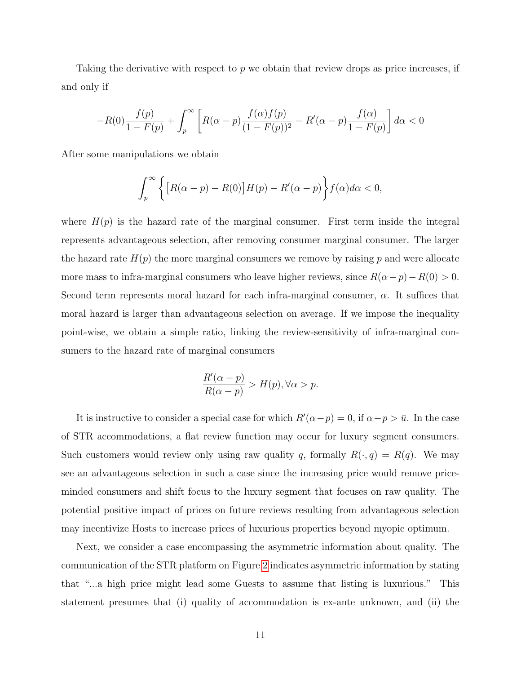Taking the derivative with respect to p we obtain that review drops as price increases, if and only if

$$
-R(0)\frac{f(p)}{1-F(p)} + \int_{p}^{\infty} \left[ R(\alpha - p) \frac{f(\alpha)f(p)}{(1-F(p))^{2}} - R'(\alpha - p) \frac{f(\alpha)}{1-F(p)} \right] d\alpha < 0
$$

After some manipulations we obtain

$$
\int_{p}^{\infty} \left\{ \left[ R(\alpha - p) - R(0) \right] H(p) - R'(\alpha - p) \right\} f(\alpha) d\alpha < 0,
$$

where  $H(p)$  is the hazard rate of the marginal consumer. First term inside the integral represents advantageous selection, after removing consumer marginal consumer. The larger the hazard rate  $H(p)$  the more marginal consumers we remove by raising p and were allocate more mass to infra-marginal consumers who leave higher reviews, since  $R(\alpha - p) - R(0) > 0$ . Second term represents moral hazard for each infra-marginal consumer,  $\alpha$ . It suffices that moral hazard is larger than advantageous selection on average. If we impose the inequality point-wise, we obtain a simple ratio, linking the review-sensitivity of infra-marginal consumers to the hazard rate of marginal consumers

$$
\frac{R'(\alpha - p)}{R(\alpha - p)} > H(p), \forall \alpha > p.
$$

It is instructive to consider a special case for which  $R'(\alpha - p) = 0$ , if  $\alpha - p > \bar{u}$ . In the case of STR accommodations, a flat review function may occur for luxury segment consumers. Such customers would review only using raw quality q, formally  $R(\cdot, q) = R(q)$ . We may see an advantageous selection in such a case since the increasing price would remove priceminded consumers and shift focus to the luxury segment that focuses on raw quality. The potential positive impact of prices on future reviews resulting from advantageous selection may incentivize Hosts to increase prices of luxurious properties beyond myopic optimum.

Next, we consider a case encompassing the asymmetric information about quality. The communication of the STR platform on Figure [2](#page-7-1) indicates asymmetric information by stating that "...a high price might lead some Guests to assume that listing is luxurious." This statement presumes that (i) quality of accommodation is ex-ante unknown, and (ii) the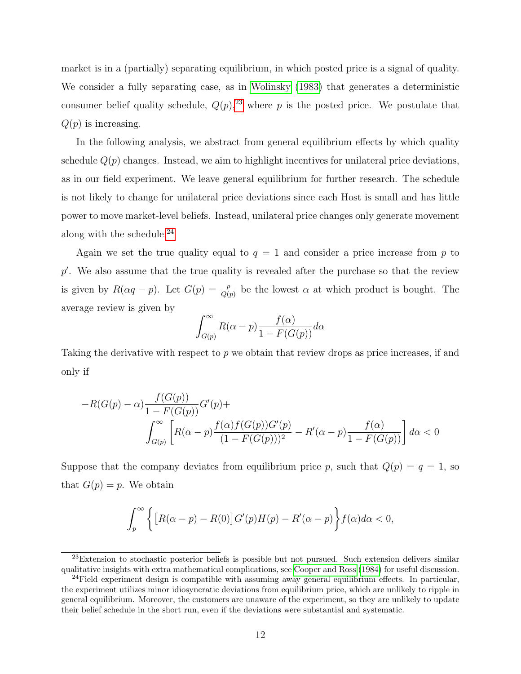market is in a (partially) separating equilibrium, in which posted price is a signal of quality. We consider a fully separating case, as in [Wolinsky](#page-30-4) [\(1983\)](#page-30-4) that generates a deterministic consumer belief quality schedule,  $Q(p)$ ,<sup>[23](#page-11-0)</sup> where p is the posted price. We postulate that  $Q(p)$  is increasing.

In the following analysis, we abstract from general equilibrium effects by which quality schedule  $Q(p)$  changes. Instead, we aim to highlight incentives for unilateral price deviations, as in our field experiment. We leave general equilibrium for further research. The schedule is not likely to change for unilateral price deviations since each Host is small and has little power to move market-level beliefs. Instead, unilateral price changes only generate movement along with the schedule.[24](#page-11-1)

Again we set the true quality equal to  $q = 1$  and consider a price increase from p to p'. We also assume that the true quality is revealed after the purchase so that the review is given by  $R(\alpha q - p)$ . Let  $G(p) = \frac{p}{Q(p)}$  be the lowest  $\alpha$  at which product is bought. The average review is given by

$$
\int_{G(p)}^{\infty} R(\alpha - p) \frac{f(\alpha)}{1 - F(G(p))} d\alpha
$$

Taking the derivative with respect to p we obtain that review drops as price increases, if and only if

$$
-R(G(p) - \alpha) \frac{f(G(p))}{1 - F(G(p))} G'(p) + \int_{G(p)}^{\infty} \left[ R(\alpha - p) \frac{f(\alpha) f(G(p)) G'(p)}{(1 - F(G(p)))^2} - R'(\alpha - p) \frac{f(\alpha)}{1 - F(G(p))} \right] d\alpha < 0
$$

Suppose that the company deviates from equilibrium price p, such that  $Q(p) = q = 1$ , so that  $G(p) = p$ . We obtain

$$
\int_{p}^{\infty} \left\{ \left[ R(\alpha - p) - R(0) \right] G'(p) H(p) - R'(\alpha - p) \right\} f(\alpha) d\alpha < 0,
$$

<span id="page-11-0"></span> $^{23}$ Extension to stochastic posterior beliefs is possible but not pursued. Such extension delivers similar qualitative insights with extra mathematical complications, see [Cooper and Ross](#page-29-8) [\(1984\)](#page-29-8) for useful discussion.

<span id="page-11-1"></span> $24$ Field experiment design is compatible with assuming away general equilibrium effects. In particular, the experiment utilizes minor idiosyncratic deviations from equilibrium price, which are unlikely to ripple in general equilibrium. Moreover, the customers are unaware of the experiment, so they are unlikely to update their belief schedule in the short run, even if the deviations were substantial and systematic.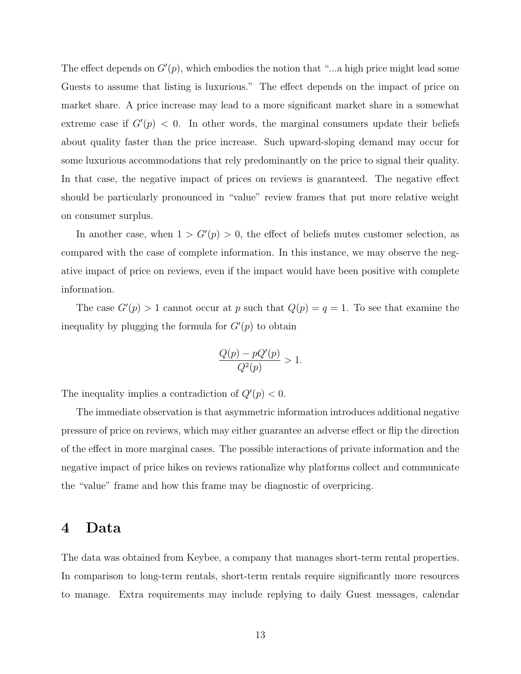The effect depends on  $G'(p)$ , which embodies the notion that "...a high price might lead some Guests to assume that listing is luxurious." The effect depends on the impact of price on market share. A price increase may lead to a more significant market share in a somewhat extreme case if  $G'(p) < 0$ . In other words, the marginal consumers update their beliefs about quality faster than the price increase. Such upward-sloping demand may occur for some luxurious accommodations that rely predominantly on the price to signal their quality. In that case, the negative impact of prices on reviews is guaranteed. The negative effect should be particularly pronounced in "value" review frames that put more relative weight on consumer surplus.

In another case, when  $1 > G'(p) > 0$ , the effect of beliefs mutes customer selection, as compared with the case of complete information. In this instance, we may observe the negative impact of price on reviews, even if the impact would have been positive with complete information.

The case  $G'(p) > 1$  cannot occur at p such that  $Q(p) = q = 1$ . To see that examine the inequality by plugging the formula for  $G'(p)$  to obtain

$$
\frac{Q(p) - pQ'(p)}{Q^2(p)} > 1.
$$

The inequality implies a contradiction of  $Q'(p) < 0$ .

The immediate observation is that asymmetric information introduces additional negative pressure of price on reviews, which may either guarantee an adverse effect or flip the direction of the effect in more marginal cases. The possible interactions of private information and the negative impact of price hikes on reviews rationalize why platforms collect and communicate the "value" frame and how this frame may be diagnostic of overpricing.

## 4 Data

The data was obtained from Keybee, a company that manages short-term rental properties. In comparison to long-term rentals, short-term rentals require significantly more resources to manage. Extra requirements may include replying to daily Guest messages, calendar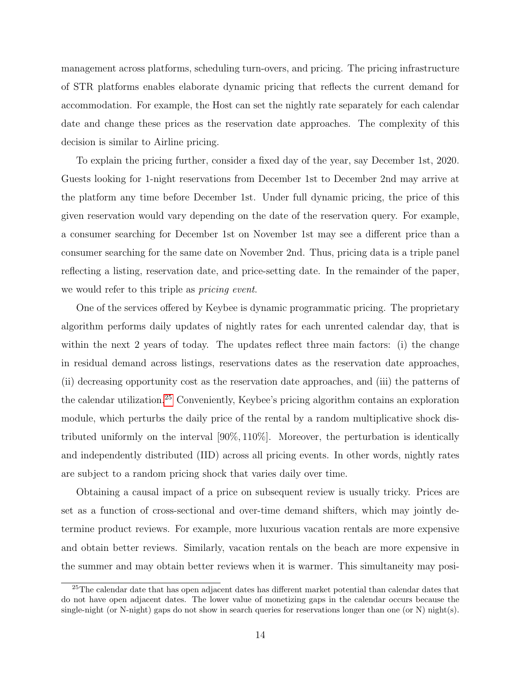management across platforms, scheduling turn-overs, and pricing. The pricing infrastructure of STR platforms enables elaborate dynamic pricing that reflects the current demand for accommodation. For example, the Host can set the nightly rate separately for each calendar date and change these prices as the reservation date approaches. The complexity of this decision is similar to Airline pricing.

To explain the pricing further, consider a fixed day of the year, say December 1st, 2020. Guests looking for 1-night reservations from December 1st to December 2nd may arrive at the platform any time before December 1st. Under full dynamic pricing, the price of this given reservation would vary depending on the date of the reservation query. For example, a consumer searching for December 1st on November 1st may see a different price than a consumer searching for the same date on November 2nd. Thus, pricing data is a triple panel reflecting a listing, reservation date, and price-setting date. In the remainder of the paper, we would refer to this triple as *pricing event*.

One of the services offered by Keybee is dynamic programmatic pricing. The proprietary algorithm performs daily updates of nightly rates for each unrented calendar day, that is within the next 2 years of today. The updates reflect three main factors: (i) the change in residual demand across listings, reservations dates as the reservation date approaches, (ii) decreasing opportunity cost as the reservation date approaches, and (iii) the patterns of the calendar utilization.[25](#page-13-0) Conveniently, Keybee's pricing algorithm contains an exploration module, which perturbs the daily price of the rental by a random multiplicative shock distributed uniformly on the interval [90%, 110%]. Moreover, the perturbation is identically and independently distributed (IID) across all pricing events. In other words, nightly rates are subject to a random pricing shock that varies daily over time.

Obtaining a causal impact of a price on subsequent review is usually tricky. Prices are set as a function of cross-sectional and over-time demand shifters, which may jointly determine product reviews. For example, more luxurious vacation rentals are more expensive and obtain better reviews. Similarly, vacation rentals on the beach are more expensive in the summer and may obtain better reviews when it is warmer. This simultaneity may posi-

<span id="page-13-0"></span><sup>25</sup>The calendar date that has open adjacent dates has different market potential than calendar dates that do not have open adjacent dates. The lower value of monetizing gaps in the calendar occurs because the single-night (or N-night) gaps do not show in search queries for reservations longer than one (or N) night(s).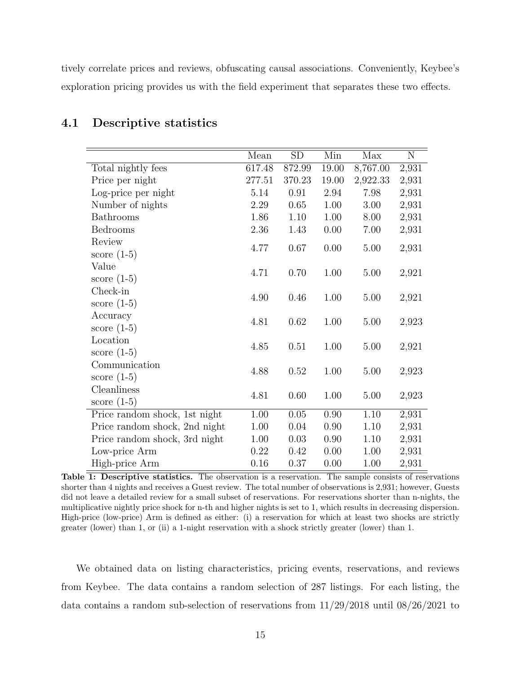tively correlate prices and reviews, obfuscating causal associations. Conveniently, Keybee's exploration pricing provides us with the field experiment that separates these two effects.

|                               | Mean   | SD       | Min      | Max      | $\mathbf N$ |
|-------------------------------|--------|----------|----------|----------|-------------|
| Total nightly fees            | 617.48 | 872.99   | 19.00    | 8,767.00 | 2,931       |
| Price per night               | 277.51 | 370.23   | 19.00    | 2,922.33 | 2,931       |
| Log-price per night           | 5.14   | 0.91     | 2.94     | 7.98     | 2,931       |
| Number of nights              | 2.29   | 0.65     | 1.00     | 3.00     | 2,931       |
| Bathrooms                     | 1.86   | 1.10     | 1.00     | 8.00     | 2,931       |
| Bedrooms                      | 2.36   | 1.43     | 0.00     | 7.00     | 2,931       |
| Review                        |        |          |          |          |             |
| score $(1-5)$                 | 4.77   | 0.67     | 0.00     | $5.00\,$ | 2,931       |
| Value                         |        |          |          |          |             |
| score $(1-5)$                 | 4.71   | 0.70     | 1.00     | 5.00     | 2,921       |
| Check-in                      |        |          |          |          |             |
| score $(1-5)$                 | 4.90   | 0.46     | 1.00     | 5.00     | 2,921       |
| Accuracy                      |        |          |          |          |             |
| score $(1-5)$                 | 4.81   | 0.62     | 1.00     | 5.00     | 2,923       |
| Location                      |        |          |          |          |             |
| score $(1-5)$                 | 4.85   | 0.51     | 1.00     | 5.00     | 2,921       |
| Communication                 |        |          |          |          |             |
| score $(1-5)$                 | 4.88   | 0.52     | 1.00     | 5.00     | 2,923       |
| Cleanliness                   |        |          |          |          |             |
| score $(1-5)$                 | 4.81   | 0.60     | 1.00     | 5.00     | 2,923       |
| Price random shock, 1st night | 1.00   | $0.05\,$ | $0.90\,$ | $1.10\,$ | 2,931       |
| Price random shock, 2nd night | 1.00   | 0.04     | 0.90     | 1.10     | 2,931       |
| Price random shock, 3rd night | 1.00   | 0.03     | 0.90     | 1.10     | 2,931       |
| Low-price Arm                 | 0.22   | 0.42     | 0.00     | 1.00     | 2,931       |
| High-price Arm                | 0.16   | 0.37     | 0.00     | 1.00     | 2,931       |

## 4.1 Descriptive statistics

<span id="page-14-0"></span>Table 1: Descriptive statistics. The observation is a reservation. The sample consists of reservations shorter than 4 nights and receives a Guest review. The total number of observations is 2,931; however, Guests did not leave a detailed review for a small subset of reservations. For reservations shorter than n-nights, the multiplicative nightly price shock for n-th and higher nights is set to 1, which results in decreasing dispersion. High-price (low-price) Arm is defined as either: (i) a reservation for which at least two shocks are strictly greater (lower) than 1, or (ii) a 1-night reservation with a shock strictly greater (lower) than 1.

We obtained data on listing characteristics, pricing events, reservations, and reviews from Keybee. The data contains a random selection of 287 listings. For each listing, the data contains a random sub-selection of reservations from 11/29/2018 until 08/26/2021 to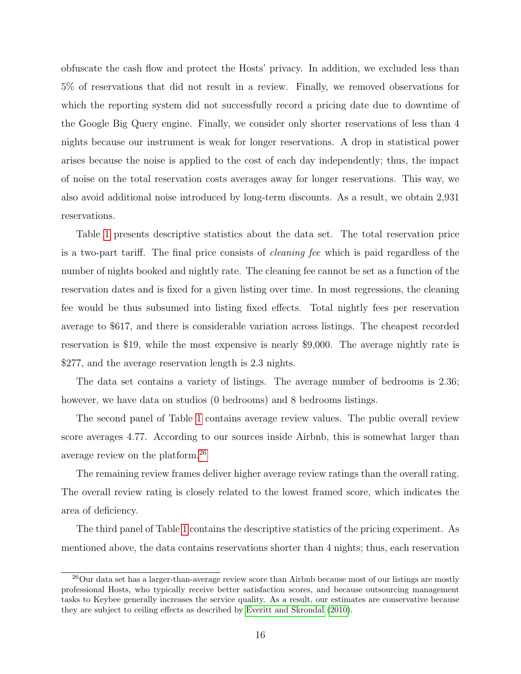obfuscate the cash flow and protect the Hosts' privacy. In addition, we excluded less than 5% of reservations that did not result in a review. Finally, we removed observations for which the reporting system did not successfully record a pricing date due to downtime of the Google Big Query engine. Finally, we consider only shorter reservations of less than 4 nights because our instrument is weak for longer reservations. A drop in statistical power arises because the noise is applied to the cost of each day independently; thus, the impact of noise on the total reservation costs averages away for longer reservations. This way, we also avoid additional noise introduced by long-term discounts. As a result, we obtain 2,931 reservations.

Table [1](#page-14-0) presents descriptive statistics about the data set. The total reservation price is a two-part tariff. The final price consists of cleaning fee which is paid regardless of the number of nights booked and nightly rate. The cleaning fee cannot be set as a function of the reservation dates and is fixed for a given listing over time. In most regressions, the cleaning fee would be thus subsumed into listing fixed effects. Total nightly fees per reservation average to \$617, and there is considerable variation across listings. The cheapest recorded reservation is \$19, while the most expensive is nearly \$9,000. The average nightly rate is \$277, and the average reservation length is 2.3 nights.

The data set contains a variety of listings. The average number of bedrooms is 2.36; however, we have data on studios (0 bedrooms) and 8 bedrooms listings.

The second panel of Table [1](#page-14-0) contains average review values. The public overall review score averages 4.77. According to our sources inside Airbnb, this is somewhat larger than average review on the platform.[26](#page-15-0)

The remaining review frames deliver higher average review ratings than the overall rating. The overall review rating is closely related to the lowest framed score, which indicates the area of deficiency.

The third panel of Table [1](#page-14-0) contains the descriptive statistics of the pricing experiment. As mentioned above, the data contains reservations shorter than 4 nights; thus, each reservation

<span id="page-15-0"></span><sup>&</sup>lt;sup>26</sup>Our data set has a larger-than-average review score than Airbnb because most of our listings are mostly professional Hosts, who typically receive better satisfaction scores, and because outsourcing management tasks to Keybee generally increases the service quality. As a result, our estimates are conservative because they are subject to ceiling effects as described by [Everitt and Skrondal](#page-29-9) [\(2010\)](#page-29-9).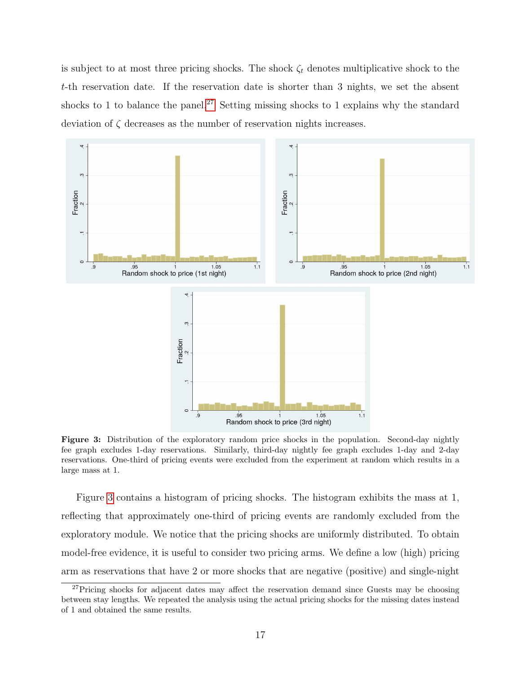is subject to at most three pricing shocks. The shock  $\zeta_t$  denotes multiplicative shock to the t-th reservation date. If the reservation date is shorter than 3 nights, we set the absent shocks to 1 to balance the panel.<sup>[27](#page-16-0)</sup> Setting missing shocks to 1 explains why the standard deviation of  $\zeta$  decreases as the number of reservation nights increases.



<span id="page-16-1"></span>Figure 3: Distribution of the exploratory random price shocks in the population. Second-day nightly fee graph excludes 1-day reservations. Similarly, third-day nightly fee graph excludes 1-day and 2-day reservations. One-third of pricing events were excluded from the experiment at random which results in a large mass at 1.

Figure [3](#page-16-1) contains a histogram of pricing shocks. The histogram exhibits the mass at 1, reflecting that approximately one-third of pricing events are randomly excluded from the exploratory module. We notice that the pricing shocks are uniformly distributed. To obtain model-free evidence, it is useful to consider two pricing arms. We define a low (high) pricing arm as reservations that have 2 or more shocks that are negative (positive) and single-night

<span id="page-16-0"></span><sup>&</sup>lt;sup>27</sup>Pricing shocks for adjacent dates may affect the reservation demand since Guests may be choosing between stay lengths. We repeated the analysis using the actual pricing shocks for the missing dates instead of 1 and obtained the same results.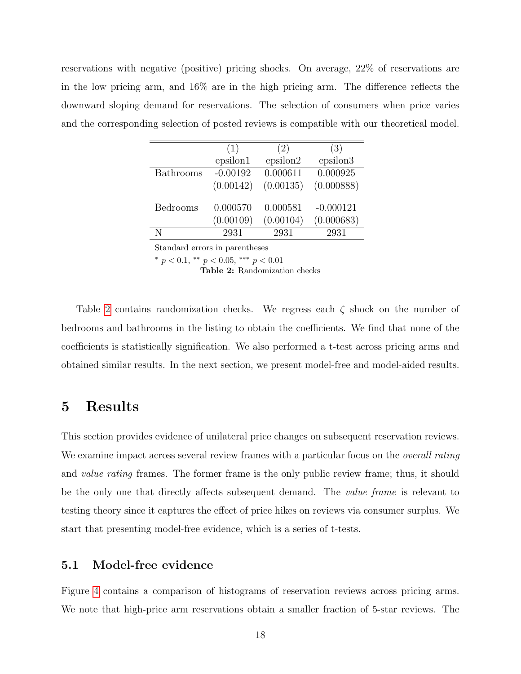reservations with negative (positive) pricing shocks. On average, 22% of reservations are in the low pricing arm, and 16% are in the high pricing arm. The difference reflects the downward sloping demand for reservations. The selection of consumers when price varies and the corresponding selection of posted reviews is compatible with our theoretical model.

|           | (1)        | (2)       | (3)         |
|-----------|------------|-----------|-------------|
|           | epsilon1   | epsilon2  | epsilon3    |
| Bathrooms | $-0.00192$ | 0.000611  | 0.000925    |
|           | (0.00142)  | (0.00135) | (0.000888)  |
| Bedrooms  | 0.000570   | 0.000581  | $-0.000121$ |
|           | (0.00109)  | (0.00104) | (0.000683)  |
| N         | 2931       | 2931      | 2931        |

Standard errors in parentheses

\*  $p < 0.1$ , \*\*  $p < 0.05$ , \*\*\*  $p < 0.01$ 

<span id="page-17-0"></span>Table 2: Randomization checks

Table [2](#page-17-0) contains randomization checks. We regress each  $\zeta$  shock on the number of bedrooms and bathrooms in the listing to obtain the coefficients. We find that none of the coefficients is statistically signification. We also performed a t-test across pricing arms and obtained similar results. In the next section, we present model-free and model-aided results.

## 5 Results

This section provides evidence of unilateral price changes on subsequent reservation reviews. We examine impact across several review frames with a particular focus on the *overall rating* and *value rating* frames. The former frame is the only public review frame; thus, it should be the only one that directly affects subsequent demand. The *value frame* is relevant to testing theory since it captures the effect of price hikes on reviews via consumer surplus. We start that presenting model-free evidence, which is a series of t-tests.

## 5.1 Model-free evidence

Figure [4](#page-18-0) contains a comparison of histograms of reservation reviews across pricing arms. We note that high-price arm reservations obtain a smaller fraction of 5-star reviews. The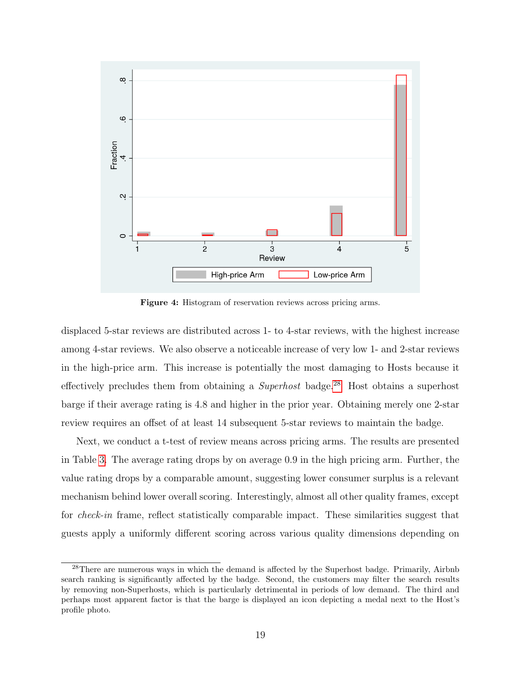

<span id="page-18-0"></span>Figure 4: Histogram of reservation reviews across pricing arms.

displaced 5-star reviews are distributed across 1- to 4-star reviews, with the highest increase among 4-star reviews. We also observe a noticeable increase of very low 1- and 2-star reviews in the high-price arm. This increase is potentially the most damaging to Hosts because it effectively precludes them from obtaining a *Superhost* badge.<sup>[28](#page-18-1)</sup> Host obtains a superhost barge if their average rating is 4.8 and higher in the prior year. Obtaining merely one 2-star review requires an offset of at least 14 subsequent 5-star reviews to maintain the badge.

Next, we conduct a t-test of review means across pricing arms. The results are presented in Table [3.](#page-19-0) The average rating drops by on average 0.9 in the high pricing arm. Further, the value rating drops by a comparable amount, suggesting lower consumer surplus is a relevant mechanism behind lower overall scoring. Interestingly, almost all other quality frames, except for *check-in* frame, reflect statistically comparable impact. These similarities suggest that guests apply a uniformly different scoring across various quality dimensions depending on

<span id="page-18-1"></span><sup>&</sup>lt;sup>28</sup>There are numerous ways in which the demand is affected by the Superhost badge. Primarily, Airbnb search ranking is significantly affected by the badge. Second, the customers may filter the search results by removing non-Superhosts, which is particularly detrimental in periods of low demand. The third and perhaps most apparent factor is that the barge is displayed an icon depicting a medal next to the Host's profile photo.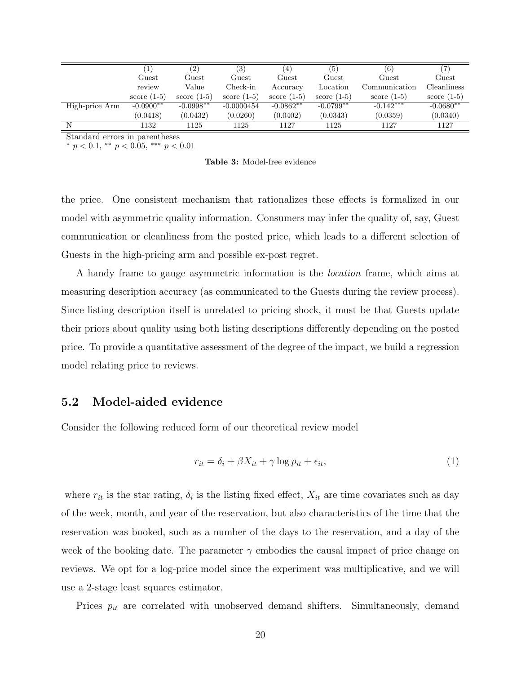|                |                         | (2)             | (3)             | 4             | (5)             | (6)           |                 |
|----------------|-------------------------|-----------------|-----------------|---------------|-----------------|---------------|-----------------|
|                | $_{\rm{Guest}}$         | $_{\rm{Guest}}$ | $_{\rm{Guest}}$ | Guest         | $_{\rm{Guest}}$ | Guest         | $_{\rm{Guest}}$ |
|                | review                  | Value           | Check-in        | Accuracy      | Location        | Communication | Cleanliness     |
|                | score $(1-5)$           | score $(1-5)$   | score $(1-5)$   | score $(1-5)$ | score $(1-5)$   | score $(1-5)$ | score $(1-5)$   |
| High-price Arm | $-0.0900$ <sup>**</sup> | $-0.0998**$     | $-0.0000454$    | $-0.0862**$   | $-0.0799^{**}$  | $-0.142***$   | $-0.0680**$     |
|                | (0.0418)                | (0.0432)        | (0.0260)        | (0.0402)      | (0.0343)        | (0.0359)      | (0.0340)        |
|                | 1132                    | 1125            | 1125            | 1127          | 1125            | 1127          | 1127            |

\*  $p < 0.1$ , \*\*  $p < 0.05$ , \*\*\*  $p < 0.01$ 

<span id="page-19-0"></span>Table 3: Model-free evidence

the price. One consistent mechanism that rationalizes these effects is formalized in our model with asymmetric quality information. Consumers may infer the quality of, say, Guest communication or cleanliness from the posted price, which leads to a different selection of Guests in the high-pricing arm and possible ex-post regret.

A handy frame to gauge asymmetric information is the location frame, which aims at measuring description accuracy (as communicated to the Guests during the review process). Since listing description itself is unrelated to pricing shock, it must be that Guests update their priors about quality using both listing descriptions differently depending on the posted price. To provide a quantitative assessment of the degree of the impact, we build a regression model relating price to reviews.

#### 5.2 Model-aided evidence

Consider the following reduced form of our theoretical review model

<span id="page-19-1"></span>
$$
r_{it} = \delta_i + \beta X_{it} + \gamma \log p_{it} + \epsilon_{it},\tag{1}
$$

where  $r_{it}$  is the star rating,  $\delta_i$  is the listing fixed effect,  $X_{it}$  are time covariates such as day of the week, month, and year of the reservation, but also characteristics of the time that the reservation was booked, such as a number of the days to the reservation, and a day of the week of the booking date. The parameter  $\gamma$  embodies the causal impact of price change on reviews. We opt for a log-price model since the experiment was multiplicative, and we will use a 2-stage least squares estimator.

Prices  $p_{it}$  are correlated with unobserved demand shifters. Simultaneously, demand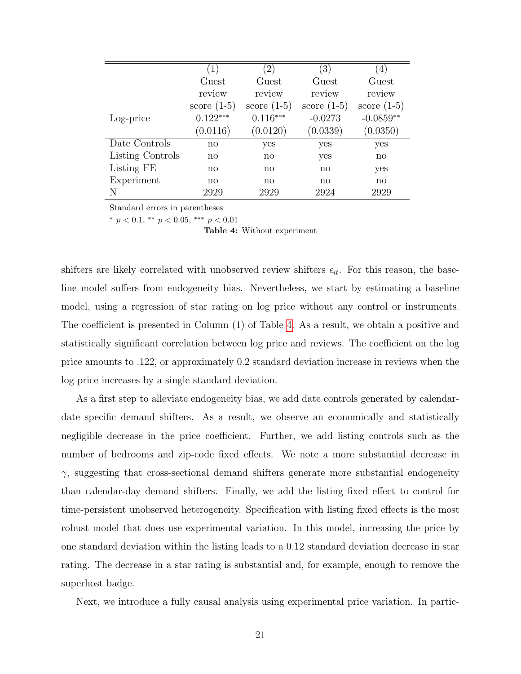|                  | (1)           | $\left( 2\right)$ | (3)           | 4)            |
|------------------|---------------|-------------------|---------------|---------------|
|                  | Guest         | Guest             | Guest         | Guest         |
|                  | review        | review            | review        | review        |
|                  | score $(1-5)$ | score $(1-5)$     | score $(1-5)$ | score $(1-5)$ |
| Log-price        | $0.122***$    | $0.116***$        | $-0.0273$     | $-0.0859**$   |
|                  | (0.0116)      | (0.0120)          | (0.0339)      | (0.0350)      |
| Date Controls    | no            | yes               | yes           | yes           |
| Listing Controls | $\mathbf{n}$  | $\mathbf{n}$      | yes           | $\mathbf{n}$  |
| Listing FE       | $\mathbf{n}$  | no                | $\mathbf{n}$  | yes           |
| Experiment       | $\mathbf{n}$  | $\mathbf{n}$      | $\mathbf{n}$  | $\mathbf{n}$  |
| N                | 2929          | 2929              | 2924          | 2929          |

\*  $p < 0.1$ , \*\*  $p < 0.05$ , \*\*\*  $p < 0.01$ 

<span id="page-20-0"></span>Table 4: Without experiment

shifters are likely correlated with unobserved review shifters  $\epsilon_{it}$ . For this reason, the baseline model suffers from endogeneity bias. Nevertheless, we start by estimating a baseline model, using a regression of star rating on log price without any control or instruments. The coefficient is presented in Column (1) of Table [4.](#page-20-0) As a result, we obtain a positive and statistically significant correlation between log price and reviews. The coefficient on the log price amounts to .122, or approximately 0.2 standard deviation increase in reviews when the log price increases by a single standard deviation.

As a first step to alleviate endogeneity bias, we add date controls generated by calendardate specific demand shifters. As a result, we observe an economically and statistically negligible decrease in the price coefficient. Further, we add listing controls such as the number of bedrooms and zip-code fixed effects. We note a more substantial decrease in  $\gamma$ , suggesting that cross-sectional demand shifters generate more substantial endogeneity than calendar-day demand shifters. Finally, we add the listing fixed effect to control for time-persistent unobserved heterogeneity. Specification with listing fixed effects is the most robust model that does use experimental variation. In this model, increasing the price by one standard deviation within the listing leads to a 0.12 standard deviation decrease in star rating. The decrease in a star rating is substantial and, for example, enough to remove the superhost badge.

Next, we introduce a fully causal analysis using experimental price variation. In partic-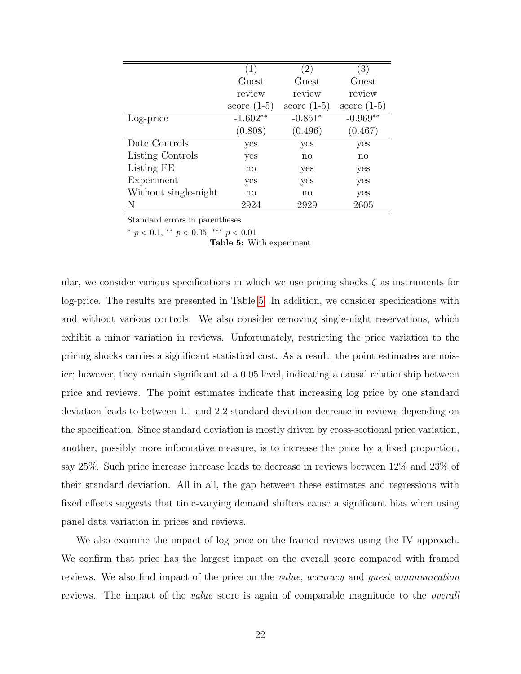|                      | (1)           | (2)           | (3)           |
|----------------------|---------------|---------------|---------------|
|                      | Guest         | Guest         | Guest         |
|                      | review        | review        | review        |
|                      | score $(1-5)$ | score $(1-5)$ | score $(1-5)$ |
| Log-price            | $-1.602**$    | $-0.851*$     | $-0.969**$    |
|                      | (0.808)       | (0.496)       | (0.467)       |
| Date Controls        | yes           | yes           | yes           |
| Listing Controls     | yes           | no            | no            |
| Listing FE           | no            | yes           | yes           |
| Experiment           | yes           | yes           | yes           |
| Without single-night | no            | no            | yes           |
| N                    | 2924          | 2929          | 2605          |

\*  $p < 0.1$ , \*\*  $p < 0.05$ , \*\*\*  $p < 0.01$ 

<span id="page-21-0"></span>Table 5: With experiment

ular, we consider various specifications in which we use pricing shocks  $\zeta$  as instruments for log-price. The results are presented in Table [5.](#page-21-0) In addition, we consider specifications with and without various controls. We also consider removing single-night reservations, which exhibit a minor variation in reviews. Unfortunately, restricting the price variation to the pricing shocks carries a significant statistical cost. As a result, the point estimates are noisier; however, they remain significant at a 0.05 level, indicating a causal relationship between price and reviews. The point estimates indicate that increasing log price by one standard deviation leads to between 1.1 and 2.2 standard deviation decrease in reviews depending on the specification. Since standard deviation is mostly driven by cross-sectional price variation, another, possibly more informative measure, is to increase the price by a fixed proportion, say 25%. Such price increase increase leads to decrease in reviews between 12% and 23% of their standard deviation. All in all, the gap between these estimates and regressions with fixed effects suggests that time-varying demand shifters cause a significant bias when using panel data variation in prices and reviews.

We also examine the impact of log price on the framed reviews using the IV approach. We confirm that price has the largest impact on the overall score compared with framed reviews. We also find impact of the price on the value, accuracy and guest communication reviews. The impact of the *value* score is again of comparable magnitude to the *overall*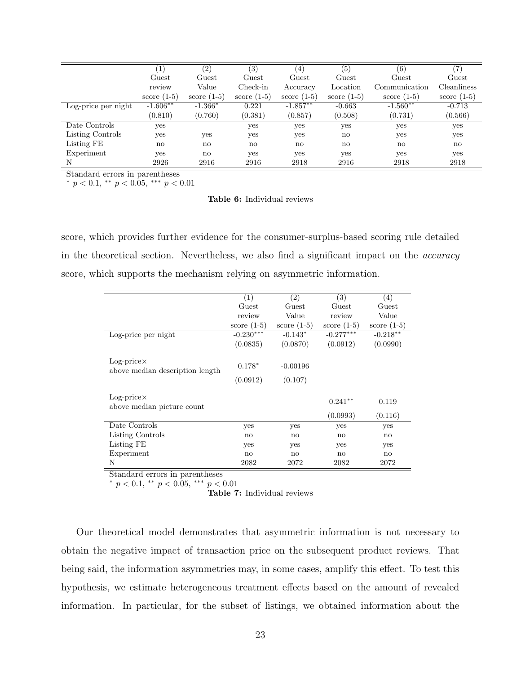|                     |               | (2)           | $\left( 3\right)$      | $\left( 4\right)$ | (5)           | (6)           | $\left( 7\right)$ |
|---------------------|---------------|---------------|------------------------|-------------------|---------------|---------------|-------------------|
|                     | Guest         | Guest         | Guest                  | Guest             | Guest         | Guest         | Guest             |
|                     | review        | Value         | Check-in               | Accuracy          | Location      | Communication | Cleanliness       |
|                     | score $(1-5)$ | score $(1-5)$ | score $(1-5)$          | score $(1-5)$     | score $(1-5)$ | score $(1-5)$ | score $(1-5)$     |
| Log-price per night | $-1.606**$    | $-1.366*$     | 0.221                  | $-1.857***$       | $-0.663$      | $-1.560**$    | $-0.713$          |
|                     | (0.810)       | (0.760)       | (0.381)                | (0.857)           | (0.508)       | (0.731)       | (0.566)           |
| Date Controls       | yes           |               | yes                    | yes               | yes           | yes           | yes               |
| Listing Controls    | yes           | yes           | yes                    | yes               | no            | yes           | yes               |
| Listing FE          | $\mathbf{n}$  | $\mathbf{n}$  | $\mathbf{n}\mathbf{o}$ | $\mathbf{n}$      | no            | $\mathbf{n}$  | $\mathbf{n}$      |
| Experiment          | yes           | no            | yes                    | yes               | yes           | yes           | yes               |
| N                   | 2926          | 2916          | 2916                   | 2918              | 2916          | 2918          | 2918              |

\*  $p < 0.1$ , \*\*  $p < 0.05$ , \*\*\*  $p < 0.01$ 

Table 6: Individual reviews

score, which provides further evidence for the consumer-surplus-based scoring rule detailed in the theoretical section. Nevertheless, we also find a significant impact on the accuracy score, which supports the mechanism relying on asymmetric information.

|                                                       | (1)           | (2)           | (3)           | (4)           |
|-------------------------------------------------------|---------------|---------------|---------------|---------------|
|                                                       | Guest         | Guest         | Guest         | Guest         |
|                                                       | review        | Value         | review        | Value         |
|                                                       | score $(1-5)$ | score $(1-5)$ | score $(1-5)$ | score $(1-5)$ |
| Log-price per night                                   | $-0.230***$   | $-0.143*$     | $-0.277***$   | $-0.218**$    |
|                                                       | (0.0835)      | (0.0870)      | (0.0912)      | (0.0990)      |
|                                                       |               |               |               |               |
| $Log-price \times$<br>above median description length | $0.178*$      | $-0.00196$    |               |               |
|                                                       | (0.0912)      | (0.107)       |               |               |
|                                                       |               |               |               |               |
| $Log-price \times$<br>above median picture count      |               |               | $0.241**$     | 0.119         |
|                                                       |               |               | (0.0993)      | (0.116)       |
| Date Controls                                         | yes           | yes           | yes           | yes           |
|                                                       |               |               |               |               |
| Listing Controls                                      | $\mathbf{n}$  | $\mathbf{n}$  | $\mathbf{n}$  | no            |
| Listing FE                                            | yes           | yes           | yes           | yes           |
| Experiment                                            | $\mathbf{n}$  | no            | no            | no            |
| N                                                     | 2082          | 2072          | 2082          | 2072          |

Standard errors in parentheses

\*  $p < 0.1$ , \*\*  $p < 0.05$ , \*\*\*  $p < 0.01$ 

<span id="page-22-0"></span>Table 7: Individual reviews

Our theoretical model demonstrates that asymmetric information is not necessary to obtain the negative impact of transaction price on the subsequent product reviews. That being said, the information asymmetries may, in some cases, amplify this effect. To test this hypothesis, we estimate heterogeneous treatment effects based on the amount of revealed information. In particular, for the subset of listings, we obtained information about the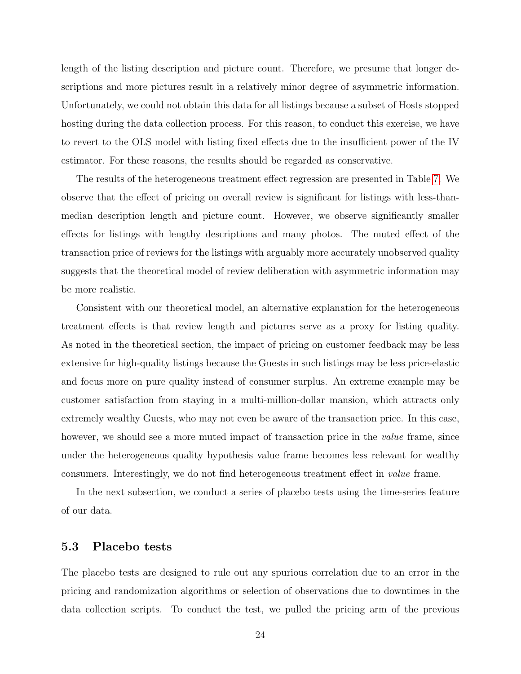length of the listing description and picture count. Therefore, we presume that longer descriptions and more pictures result in a relatively minor degree of asymmetric information. Unfortunately, we could not obtain this data for all listings because a subset of Hosts stopped hosting during the data collection process. For this reason, to conduct this exercise, we have to revert to the OLS model with listing fixed effects due to the insufficient power of the IV estimator. For these reasons, the results should be regarded as conservative.

The results of the heterogeneous treatment effect regression are presented in Table [7.](#page-22-0) We observe that the effect of pricing on overall review is significant for listings with less-thanmedian description length and picture count. However, we observe significantly smaller effects for listings with lengthy descriptions and many photos. The muted effect of the transaction price of reviews for the listings with arguably more accurately unobserved quality suggests that the theoretical model of review deliberation with asymmetric information may be more realistic.

Consistent with our theoretical model, an alternative explanation for the heterogeneous treatment effects is that review length and pictures serve as a proxy for listing quality. As noted in the theoretical section, the impact of pricing on customer feedback may be less extensive for high-quality listings because the Guests in such listings may be less price-elastic and focus more on pure quality instead of consumer surplus. An extreme example may be customer satisfaction from staying in a multi-million-dollar mansion, which attracts only extremely wealthy Guests, who may not even be aware of the transaction price. In this case, however, we should see a more muted impact of transaction price in the *value* frame, since under the heterogeneous quality hypothesis value frame becomes less relevant for wealthy consumers. Interestingly, we do not find heterogeneous treatment effect in value frame.

In the next subsection, we conduct a series of placebo tests using the time-series feature of our data.

#### 5.3 Placebo tests

The placebo tests are designed to rule out any spurious correlation due to an error in the pricing and randomization algorithms or selection of observations due to downtimes in the data collection scripts. To conduct the test, we pulled the pricing arm of the previous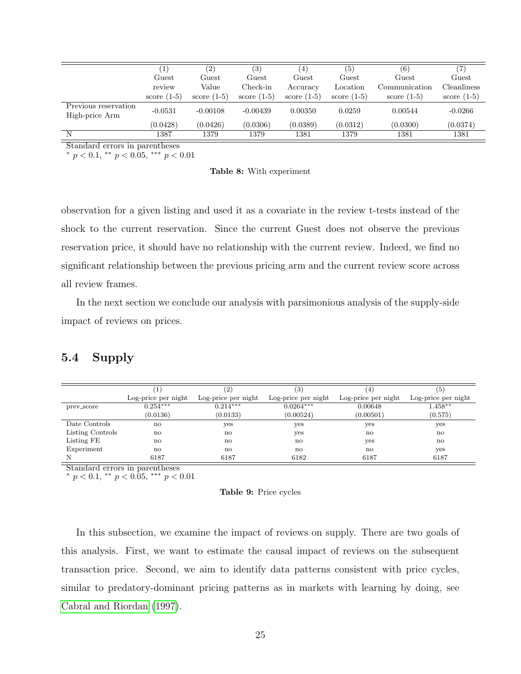|                                        |                 | $\left( 2\right)$ | (3)             | (4)             | (5)           | (6)           |               |
|----------------------------------------|-----------------|-------------------|-----------------|-----------------|---------------|---------------|---------------|
|                                        | $_{\rm{Guest}}$ | $_{\rm{Guest}}$   | $_{\rm{Guest}}$ | $_{\rm{Guest}}$ | Guest         | Guest         | Guest         |
|                                        | review          | Value             | Check-in        | Accuracy        | Location      | Communication | Cleanliness   |
|                                        | score $(1-5)$   | score $(1-5)$     | score $(1-5)$   | score $(1-5)$   | score $(1-5)$ | score $(1-5)$ | score $(1-5)$ |
| Previous reservation<br>High-price Arm | $-0.0531$       | $-0.00108$        | $-0.00439$      | 0.00350         | 0.0259        | 0.00544       | $-0.0266$     |
|                                        | (0.0428)        | (0.0426)          | (0.0306)        | (0.0389)        | (0.0312)      | (0.0300)      | (0.0374)      |
| N                                      | 1387            | 1379              | 1379            | 1381            | 1379          | 1381          | 1381          |

\*  $p < 0.1$ , \*\*  $p < 0.05$ , \*\*\*  $p < 0.01$ 

Table 8: With experiment

observation for a given listing and used it as a covariate in the review t-tests instead of the shock to the current reservation. Since the current Guest does not observe the previous reservation price, it should have no relationship with the current review. Indeed, we find no significant relationship between the previous pricing arm and the current review score across all review frames.

In the next section we conclude our analysis with parsimonious analysis of the supply-side impact of reviews on prices.

## 5.4 Supply

|                  |                     | $\left( 2\right)$   | (3)                 |                     | (5)                 |
|------------------|---------------------|---------------------|---------------------|---------------------|---------------------|
|                  | Log-price per night | Log-price per night | Log-price per night | Log-price per night | Log-price per night |
| prev_score       | $0.254***$          | $0.214***$          | $0.0264***$         | 0.00648             | $1.458***$          |
|                  | (0.0136)            | (0.0133)            | (0.00524)           | (0.00501)           | (0.575)             |
| Date Controls    | $\mathbf{n}$        | yes                 | yes                 | yes                 | yes                 |
| Listing Controls | $\mathbf{n}$        | no                  | yes                 | no                  | $\mathbf{n}$        |
| Listing FE       | $\mathbf{n}$        | no                  | $\mathbf{n}$        | yes                 | $\mathbf{n}$        |
| Experiment       | $\mathbf{n}$        | no                  | $\mathbf{n}$        | $\mathbf{n}$        | yes                 |
|                  | 6187                | 6187                | 6182                | 6187                | 6187                |

Standard errors in parentheses

 $p < 0.1$ , \*\*  $p < 0.05$ , \*\*\*  $p < 0.01$ 

<span id="page-24-0"></span>

| Table 9: Price cycles |  |  |
|-----------------------|--|--|
|-----------------------|--|--|

In this subsection, we examine the impact of reviews on supply. There are two goals of this analysis. First, we want to estimate the causal impact of reviews on the subsequent transaction price. Second, we aim to identify data patterns consistent with price cycles, similar to predatory-dominant pricing patterns as in markets with learning by doing, see [Cabral and Riordan](#page-29-3) [\(1997\)](#page-29-3).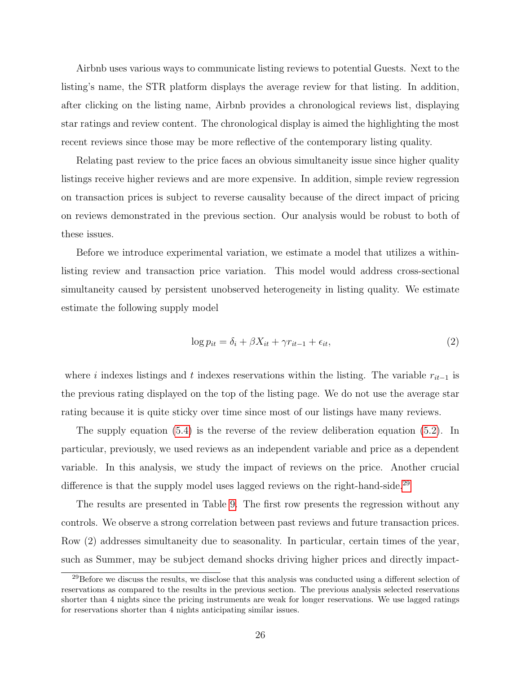Airbnb uses various ways to communicate listing reviews to potential Guests. Next to the listing's name, the STR platform displays the average review for that listing. In addition, after clicking on the listing name, Airbnb provides a chronological reviews list, displaying star ratings and review content. The chronological display is aimed the highlighting the most recent reviews since those may be more reflective of the contemporary listing quality.

Relating past review to the price faces an obvious simultaneity issue since higher quality listings receive higher reviews and are more expensive. In addition, simple review regression on transaction prices is subject to reverse causality because of the direct impact of pricing on reviews demonstrated in the previous section. Our analysis would be robust to both of these issues.

Before we introduce experimental variation, we estimate a model that utilizes a withinlisting review and transaction price variation. This model would address cross-sectional simultaneity caused by persistent unobserved heterogeneity in listing quality. We estimate estimate the following supply model

<span id="page-25-0"></span>
$$
\log p_{it} = \delta_i + \beta X_{it} + \gamma r_{it-1} + \epsilon_{it},\tag{2}
$$

where i indexes listings and t indexes reservations within the listing. The variable  $r_{it-1}$  is the previous rating displayed on the top of the listing page. We do not use the average star rating because it is quite sticky over time since most of our listings have many reviews.

The supply equation [\(5.4\)](#page-25-0) is the reverse of the review deliberation equation [\(5.2\)](#page-19-1). In particular, previously, we used reviews as an independent variable and price as a dependent variable. In this analysis, we study the impact of reviews on the price. Another crucial difference is that the supply model uses lagged reviews on the right-hand-side.<sup>[29](#page-25-1)</sup>

The results are presented in Table [9.](#page-24-0) The first row presents the regression without any controls. We observe a strong correlation between past reviews and future transaction prices. Row (2) addresses simultaneity due to seasonality. In particular, certain times of the year, such as Summer, may be subject demand shocks driving higher prices and directly impact-

<span id="page-25-1"></span><sup>&</sup>lt;sup>29</sup>Before we discuss the results, we disclose that this analysis was conducted using a different selection of reservations as compared to the results in the previous section. The previous analysis selected reservations shorter than 4 nights since the pricing instruments are weak for longer reservations. We use lagged ratings for reservations shorter than 4 nights anticipating similar issues.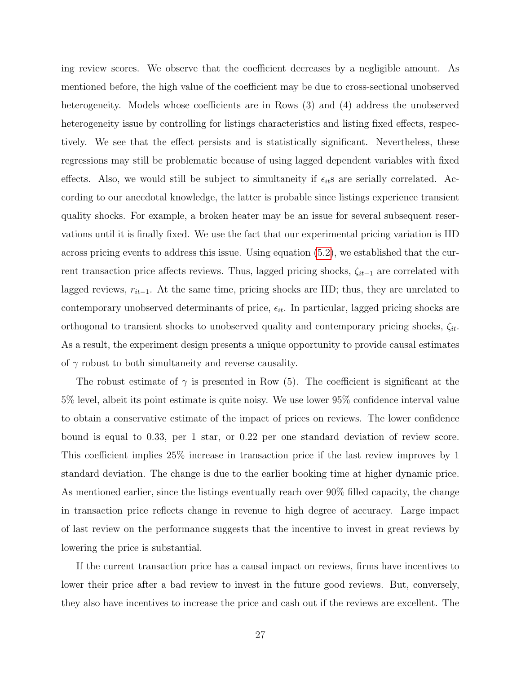ing review scores. We observe that the coefficient decreases by a negligible amount. As mentioned before, the high value of the coefficient may be due to cross-sectional unobserved heterogeneity. Models whose coefficients are in Rows  $(3)$  and  $(4)$  address the unobserved heterogeneity issue by controlling for listings characteristics and listing fixed effects, respectively. We see that the effect persists and is statistically significant. Nevertheless, these regressions may still be problematic because of using lagged dependent variables with fixed effects. Also, we would still be subject to simultaneity if  $\epsilon_{it}$  are serially correlated. According to our anecdotal knowledge, the latter is probable since listings experience transient quality shocks. For example, a broken heater may be an issue for several subsequent reservations until it is finally fixed. We use the fact that our experimental pricing variation is IID across pricing events to address this issue. Using equation [\(5.2\)](#page-19-1), we established that the current transaction price affects reviews. Thus, lagged pricing shocks,  $\zeta_{it-1}$  are correlated with lagged reviews,  $r_{it-1}$ . At the same time, pricing shocks are IID; thus, they are unrelated to contemporary unobserved determinants of price,  $\epsilon_{it}$ . In particular, lagged pricing shocks are orthogonal to transient shocks to unobserved quality and contemporary pricing shocks,  $\zeta_{it}$ . As a result, the experiment design presents a unique opportunity to provide causal estimates of  $\gamma$  robust to both simultaneity and reverse causality.

The robust estimate of  $\gamma$  is presented in Row (5). The coefficient is significant at the 5% level, albeit its point estimate is quite noisy. We use lower 95% confidence interval value to obtain a conservative estimate of the impact of prices on reviews. The lower confidence bound is equal to 0.33, per 1 star, or 0.22 per one standard deviation of review score. This coefficient implies 25% increase in transaction price if the last review improves by 1 standard deviation. The change is due to the earlier booking time at higher dynamic price. As mentioned earlier, since the listings eventually reach over 90% filled capacity, the change in transaction price reflects change in revenue to high degree of accuracy. Large impact of last review on the performance suggests that the incentive to invest in great reviews by lowering the price is substantial.

If the current transaction price has a causal impact on reviews, firms have incentives to lower their price after a bad review to invest in the future good reviews. But, conversely, they also have incentives to increase the price and cash out if the reviews are excellent. The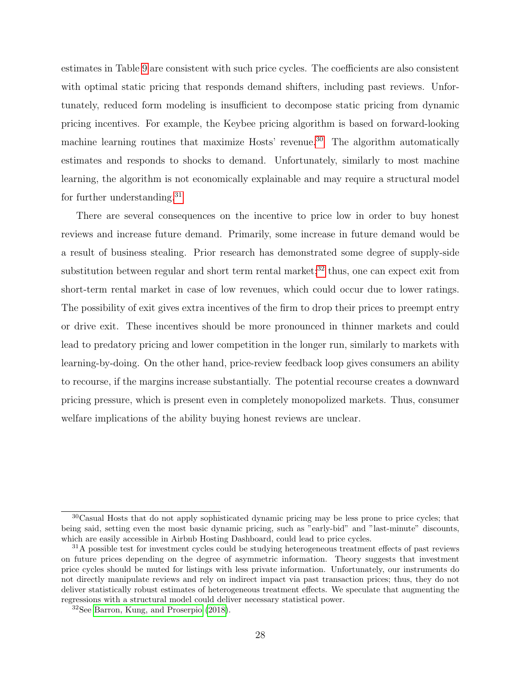estimates in Table [9](#page-24-0) are consistent with such price cycles. The coefficients are also consistent with optimal static pricing that responds demand shifters, including past reviews. Unfortunately, reduced form modeling is insufficient to decompose static pricing from dynamic pricing incentives. For example, the Keybee pricing algorithm is based on forward-looking machine learning routines that maximize Hosts' revenue.<sup>[30](#page-27-0)</sup> The algorithm automatically estimates and responds to shocks to demand. Unfortunately, similarly to most machine learning, the algorithm is not economically explainable and may require a structural model for further understanding.[31](#page-27-1)

There are several consequences on the incentive to price low in order to buy honest reviews and increase future demand. Primarily, some increase in future demand would be a result of business stealing. Prior research has demonstrated some degree of supply-side substitution between regular and short term rental market; $32$  thus, one can expect exit from short-term rental market in case of low revenues, which could occur due to lower ratings. The possibility of exit gives extra incentives of the firm to drop their prices to preempt entry or drive exit. These incentives should be more pronounced in thinner markets and could lead to predatory pricing and lower competition in the longer run, similarly to markets with learning-by-doing. On the other hand, price-review feedback loop gives consumers an ability to recourse, if the margins increase substantially. The potential recourse creates a downward pricing pressure, which is present even in completely monopolized markets. Thus, consumer welfare implications of the ability buying honest reviews are unclear.

<span id="page-27-0"></span><sup>30</sup>Casual Hosts that do not apply sophisticated dynamic pricing may be less prone to price cycles; that being said, setting even the most basic dynamic pricing, such as "early-bid" and "last-minute" discounts, which are easily accessible in Airbnb Hosting Dashboard, could lead to price cycles.

<span id="page-27-1"></span><sup>&</sup>lt;sup>31</sup>A possible test for investment cycles could be studying heterogeneous treatment effects of past reviews on future prices depending on the degree of asymmetric information. Theory suggests that investment price cycles should be muted for listings with less private information. Unfortunately, our instruments do not directly manipulate reviews and rely on indirect impact via past transaction prices; thus, they do not deliver statistically robust estimates of heterogeneous treatment effects. We speculate that augmenting the regressions with a structural model could deliver necessary statistical power.

<span id="page-27-2"></span><sup>32</sup>See [Barron, Kung, and Proserpio](#page-29-10) [\(2018\)](#page-29-10).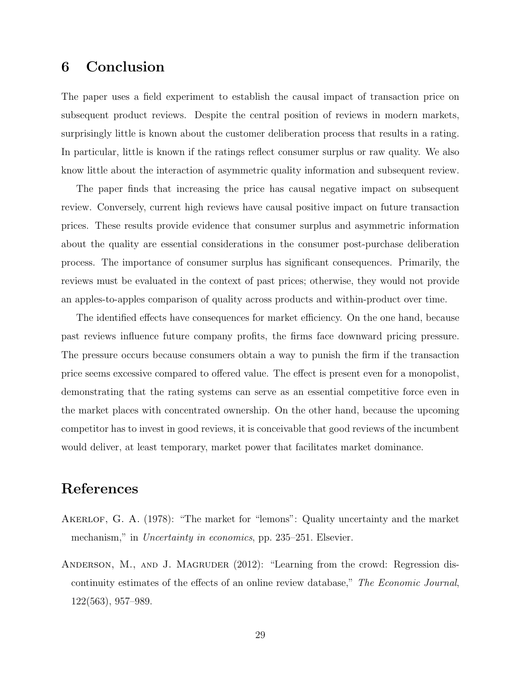# 6 Conclusion

The paper uses a field experiment to establish the causal impact of transaction price on subsequent product reviews. Despite the central position of reviews in modern markets, surprisingly little is known about the customer deliberation process that results in a rating. In particular, little is known if the ratings reflect consumer surplus or raw quality. We also know little about the interaction of asymmetric quality information and subsequent review.

The paper finds that increasing the price has causal negative impact on subsequent review. Conversely, current high reviews have causal positive impact on future transaction prices. These results provide evidence that consumer surplus and asymmetric information about the quality are essential considerations in the consumer post-purchase deliberation process. The importance of consumer surplus has significant consequences. Primarily, the reviews must be evaluated in the context of past prices; otherwise, they would not provide an apples-to-apples comparison of quality across products and within-product over time.

The identified effects have consequences for market efficiency. On the one hand, because past reviews influence future company profits, the firms face downward pricing pressure. The pressure occurs because consumers obtain a way to punish the firm if the transaction price seems excessive compared to offered value. The effect is present even for a monopolist, demonstrating that the rating systems can serve as an essential competitive force even in the market places with concentrated ownership. On the other hand, because the upcoming competitor has to invest in good reviews, it is conceivable that good reviews of the incumbent would deliver, at least temporary, market power that facilitates market dominance.

# References

- <span id="page-28-0"></span>AKERLOF, G. A. (1978): "The market for "lemons": Quality uncertainty and the market mechanism," in *Uncertainty in economics*, pp. 235–251. Elsevier.
- <span id="page-28-1"></span>ANDERSON, M., AND J. MAGRUDER (2012): "Learning from the crowd: Regression discontinuity estimates of the effects of an online review database," The Economic Journal, 122(563), 957–989.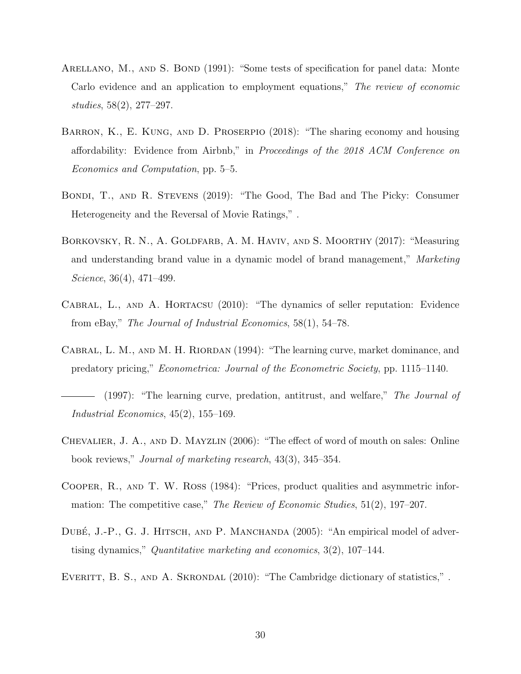- <span id="page-29-6"></span>ARELLANO, M., AND S. BOND (1991): "Some tests of specification for panel data: Monte Carlo evidence and an application to employment equations," The review of economic studies, 58(2), 277–297.
- <span id="page-29-10"></span>Barron, K., E. Kung, and D. Proserpio (2018): "The sharing economy and housing affordability: Evidence from Airbnb," in Proceedings of the 2018 ACM Conference on Economics and Computation, pp. 5–5.
- <span id="page-29-7"></span>Bondi, T., and R. Stevens (2019): "The Good, The Bad and The Picky: Consumer Heterogeneity and the Reversal of Movie Ratings," .
- <span id="page-29-5"></span>BORKOVSKY, R. N., A. GOLDFARB, A. M. HAVIV, AND S. MOORTHY (2017): "Measuring and understanding brand value in a dynamic model of brand management," Marketing Science, 36(4), 471–499.
- <span id="page-29-1"></span>Cabral, L., and A. Hortacsu (2010): "The dynamics of seller reputation: Evidence from eBay," The Journal of Industrial Economics, 58(1), 54–78.
- <span id="page-29-2"></span>CABRAL, L. M., AND M. H. RIORDAN (1994): "The learning curve, market dominance, and predatory pricing," Econometrica: Journal of the Econometric Society, pp. 1115–1140.
- <span id="page-29-3"></span>(1997): "The learning curve, predation, antitrust, and welfare," The Journal of Industrial Economics, 45(2), 155–169.
- <span id="page-29-0"></span>Chevalier, J. A., and D. Mayzlin (2006): "The effect of word of mouth on sales: Online book reviews," Journal of marketing research, 43(3), 345–354.
- <span id="page-29-8"></span>Cooper, R., and T. W. Ross (1984): "Prices, product qualities and asymmetric information: The competitive case," The Review of Economic Studies, 51(2), 197–207.
- <span id="page-29-4"></span>DUBÉ, J.-P., G. J. HITSCH, AND P. MANCHANDA (2005): "An empirical model of advertising dynamics," Quantitative marketing and economics,  $3(2)$ ,  $107-144$ .
- <span id="page-29-9"></span>EVERITT, B. S., AND A. SKRONDAL (2010): "The Cambridge dictionary of statistics,".